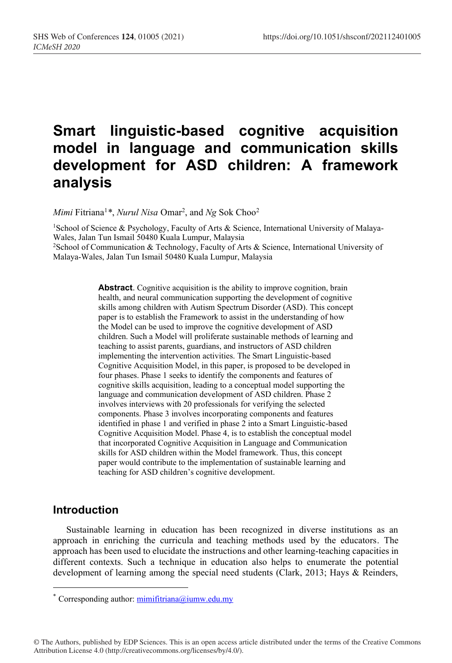# **Smart linguistic-based cognitive acquisition model in language and communication skills development for ASD children: A framework analysis**

*Mimi* Fitriana1 *\**, *Nurul Nisa* Omar2 , and *Ng* Sok Choo2

<sup>1</sup>School of Science & Psychology, Faculty of Arts & Science, International University of Malaya-Wales, Jalan Tun Ismail 50480 Kuala Lumpur, Malaysia 2School of Communication & Technology, Faculty of Arts & Science, International University of Malaya-Wales, Jalan Tun Ismail 50480 Kuala Lumpur, Malaysia

> **Abstract**. Cognitive acquisition is the ability to improve cognition, brain health, and neural communication supporting the development of cognitive skills among children with Autism Spectrum Disorder (ASD). This concept paper is to establish the Framework to assist in the understanding of how the Model can be used to improve the cognitive development of ASD children. Such a Model will proliferate sustainable methods of learning and teaching to assist parents, guardians, and instructors of ASD children implementing the intervention activities. The Smart Linguistic-based Cognitive Acquisition Model, in this paper, is proposed to be developed in four phases. Phase 1 seeks to identify the components and features of cognitive skills acquisition, leading to a conceptual model supporting the language and communication development of ASD children. Phase 2 involves interviews with 20 professionals for verifying the selected components. Phase 3 involves incorporating components and features identified in phase 1 and verified in phase 2 into a Smart Linguistic-based Cognitive Acquisition Model. Phase 4, is to establish the conceptual model that incorporated Cognitive Acquisition in Language and Communication skills for ASD children within the Model framework. Thus, this concept paper would contribute to the implementation of sustainable learning and teaching for ASD children's cognitive development.

## **Introduction**

Sustainable learning in education has been recognized in diverse institutions as an approach in enriching the curricula and teaching methods used by the educators. The approach has been used to elucidate the instructions and other learning-teaching capacities in different contexts. Such a technique in education also helps to enumerate the potential development of learning among the special need students (Clark, 2013; Hays & Reinders,

© The Authors, published by EDP Sciences. This is an open access article distributed under the terms of the Creative Commons Attribution License 4.0 (http://creativecommons.org/licenses/by/4.0/).

<sup>\*</sup> Corresponding author: mimifitriana@iumw.edu.my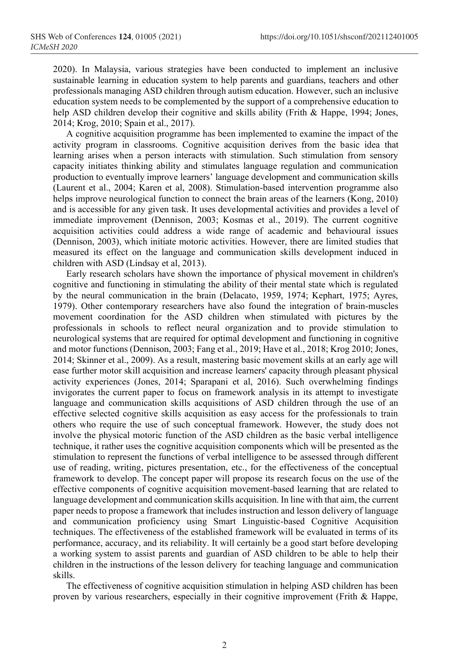2020). In Malaysia, various strategies have been conducted to implement an inclusive sustainable learning in education system to help parents and guardians, teachers and other professionals managing ASD children through autism education. However, such an inclusive education system needs to be complemented by the support of a comprehensive education to help ASD children develop their cognitive and skills ability (Frith & Happe, 1994; Jones, 2014; Krog, 2010; Spain et al., 2017).

A cognitive acquisition programme has been implemented to examine the impact of the activity program in classrooms. Cognitive acquisition derives from the basic idea that learning arises when a person interacts with stimulation. Such stimulation from sensory capacity initiates thinking ability and stimulates language regulation and communication production to eventually improve learners' language development and communication skills (Laurent et al., 2004; Karen et al, 2008). Stimulation-based intervention programme also helps improve neurological function to connect the brain areas of the learners (Kong, 2010) and is accessible for any given task. It uses developmental activities and provides a level of immediate improvement (Dennison, 2003; Kosmas et al., 2019). The current cognitive acquisition activities could address a wide range of academic and behavioural issues (Dennison, 2003), which initiate motoric activities. However, there are limited studies that measured its effect on the language and communication skills development induced in children with ASD (Lindsay et al, 2013).

Early research scholars have shown the importance of physical movement in children's cognitive and functioning in stimulating the ability of their mental state which is regulated by the neural communication in the brain (Delacato, 1959, 1974; Kephart, 1975; Ayres, 1979). Other contemporary researchers have also found the integration of brain-muscles movement coordination for the ASD children when stimulated with pictures by the professionals in schools to reflect neural organization and to provide stimulation to neurological systems that are required for optimal development and functioning in cognitive and motor functions (Dennison, 2003; Fang et al., 2019; Have et al., 2018; Krog 2010; Jones, 2014; Skinner et al., 2009). As a result, mastering basic movement skills at an early age will ease further motor skill acquisition and increase learners' capacity through pleasant physical activity experiences (Jones, 2014; Sparapani et al, 2016). Such overwhelming findings invigorates the current paper to focus on framework analysis in its attempt to investigate language and communication skills acquisitions of ASD children through the use of an effective selected cognitive skills acquisition as easy access for the professionals to train others who require the use of such conceptual framework. However, the study does not involve the physical motoric function of the ASD children as the basic verbal intelligence technique, it rather uses the cognitive acquisition components which will be presented as the stimulation to represent the functions of verbal intelligence to be assessed through different use of reading, writing, pictures presentation, etc., for the effectiveness of the conceptual framework to develop. The concept paper will propose its research focus on the use of the effective components of cognitive acquisition movement-based learning that are related to language development and communication skills acquisition. In line with that aim, the current paper needs to propose a framework that includes instruction and lesson delivery of language and communication proficiency using Smart Linguistic-based Cognitive Acquisition techniques. The effectiveness of the established framework will be evaluated in terms of its performance, accuracy, and its reliability. It will certainly be a good start before developing a working system to assist parents and guardian of ASD children to be able to help their children in the instructions of the lesson delivery for teaching language and communication skills.

The effectiveness of cognitive acquisition stimulation in helping ASD children has been proven by various researchers, especially in their cognitive improvement (Frith & Happe,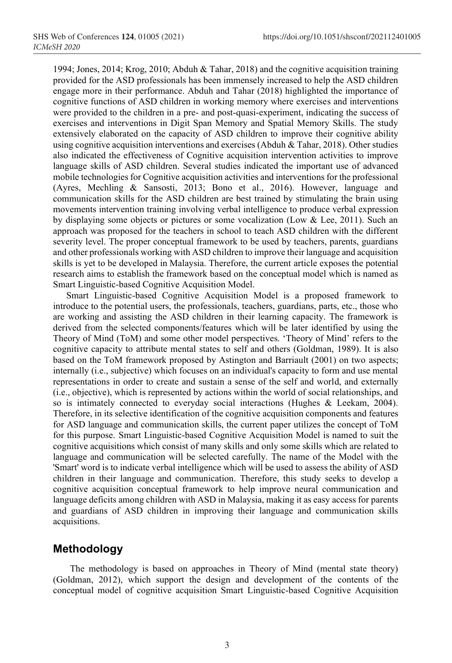1994; Jones, 2014; Krog, 2010; Abduh & Tahar, 2018) and the cognitive acquisition training provided for the ASD professionals has been immensely increased to help the ASD children engage more in their performance. Abduh and Tahar (2018) highlighted the importance of cognitive functions of ASD children in working memory where exercises and interventions were provided to the children in a pre- and post-quasi-experiment, indicating the success of exercises and interventions in Digit Span Memory and Spatial Memory Skills. The study extensively elaborated on the capacity of ASD children to improve their cognitive ability using cognitive acquisition interventions and exercises (Abduh & Tahar, 2018). Other studies also indicated the effectiveness of Cognitive acquisition intervention activities to improve language skills of ASD children. Several studies indicated the important use of advanced mobile technologies for Cognitive acquisition activities and interventions for the professional (Ayres, Mechling & Sansosti, 2013; Bono et al., 2016). However, language and communication skills for the ASD children are best trained by stimulating the brain using movements intervention training involving verbal intelligence to produce verbal expression by displaying some objects or pictures or some vocalization (Low & Lee, 2011). Such an approach was proposed for the teachers in school to teach ASD children with the different severity level. The proper conceptual framework to be used by teachers, parents, guardians and other professionals working with ASD children to improve their language and acquisition skills is yet to be developed in Malaysia. Therefore, the current article exposes the potential research aims to establish the framework based on the conceptual model which is named as Smart Linguistic-based Cognitive Acquisition Model.

Smart Linguistic-based Cognitive Acquisition Model is a proposed framework to introduce to the potential users, the professionals, teachers, guardians, parts, etc., those who are working and assisting the ASD children in their learning capacity. The framework is derived from the selected components/features which will be later identified by using the Theory of Mind (ToM) and some other model perspectives. 'Theory of Mind' refers to the cognitive capacity to attribute mental states to self and others (Goldman, 1989). It is also based on the ToM framework proposed by Astington and Barriault (2001) on two aspects; internally (i.e., subjective) which focuses on an individual's capacity to form and use mental representations in order to create and sustain a sense of the self and world, and externally (i.e., objective), which is represented by actions within the world of social relationships, and so is intimately connected to everyday social interactions (Hughes & Leekam, 2004). Therefore, in its selective identification of the cognitive acquisition components and features for ASD language and communication skills, the current paper utilizes the concept of ToM for this purpose. Smart Linguistic-based Cognitive Acquisition Model is named to suit the cognitive acquisitions which consist of many skills and only some skills which are related to language and communication will be selected carefully. The name of the Model with the 'Smart' word is to indicate verbal intelligence which will be used to assess the ability of ASD children in their language and communication. Therefore, this study seeks to develop a cognitive acquisition conceptual framework to help improve neural communication and language deficits among children with ASD in Malaysia, making it as easy access for parents and guardians of ASD children in improving their language and communication skills acquisitions.

## **Methodology**

The methodology is based on approaches in Theory of Mind (mental state theory) (Goldman, 2012), which support the design and development of the contents of the conceptual model of cognitive acquisition Smart Linguistic-based Cognitive Acquisition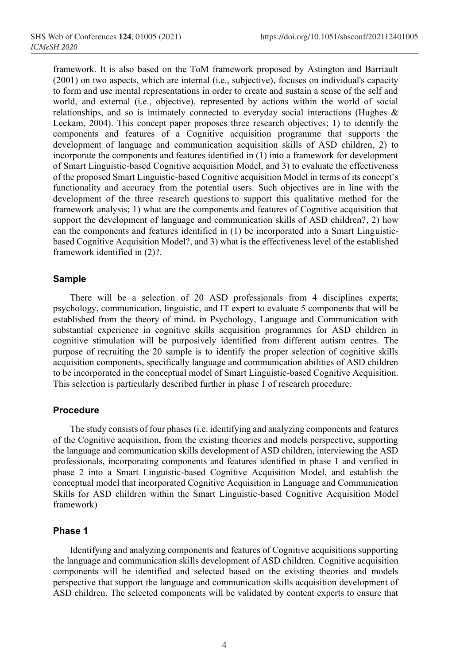framework. It is also based on the ToM framework proposed by Astington and Barriault (2001) on two aspects, which are internal (i.e., subjective), focuses on individual's capacity to form and use mental representations in order to create and sustain a sense of the self and world, and external (i.e., objective), represented by actions within the world of social relationships, and so is intimately connected to everyday social interactions (Hughes & Leekam, 2004). This concept paper proposes three research objectives; 1) to identify the components and features of a Cognitive acquisition programme that supports the development of language and communication acquisition skills of ASD children, 2) to incorporate the components and features identified in (1) into a framework for development of Smart Linguistic-based Cognitive acquisition Model, and 3) to evaluate the effectiveness of the proposed Smart Linguistic-based Cognitive acquisition Model in terms of its concept's functionality and accuracy from the potential users. Such objectives are in line with the development of the three research questions to support this qualitative method for the framework analysis; 1) what are the components and features of Cognitive acquisition that support the development of language and communication skills of ASD children?, 2) how can the components and features identified in (1) be incorporated into a Smart Linguisticbased Cognitive Acquisition Model?, and 3) what is the effectiveness level of the established framework identified in (2)?.

#### **Sample**

There will be a selection of 20 ASD professionals from 4 disciplines experts; psychology, communication, linguistic, and IT expert to evaluate 5 components that will be established from the theory of mind. in Psychology, Language and Communication with substantial experience in cognitive skills acquisition programmes for ASD children in cognitive stimulation will be purposively identified from different autism centres. The purpose of recruiting the 20 sample is to identify the proper selection of cognitive skills acquisition components, specifically language and communication abilities of ASD children to be incorporated in the conceptual model of Smart Linguistic-based Cognitive Acquisition. This selection is particularly described further in phase 1 of research procedure.

#### **Procedure**

The study consists of four phases (i.e. identifying and analyzing components and features of the Cognitive acquisition, from the existing theories and models perspective, supporting the language and communication skills development of ASD children, interviewing the ASD professionals, incorporating components and features identified in phase 1 and verified in phase 2 into a Smart Linguistic-based Cognitive Acquisition Model, and establish the conceptual model that incorporated Cognitive Acquisition in Language and Communication Skills for ASD children within the Smart Linguistic-based Cognitive Acquisition Model framework)

#### **Phase 1**

Identifying and analyzing components and features of Cognitive acquisitions supporting the language and communication skills development of ASD children. Cognitive acquisition components will be identified and selected based on the existing theories and models perspective that support the language and communication skills acquisition development of ASD children. The selected components will be validated by content experts to ensure that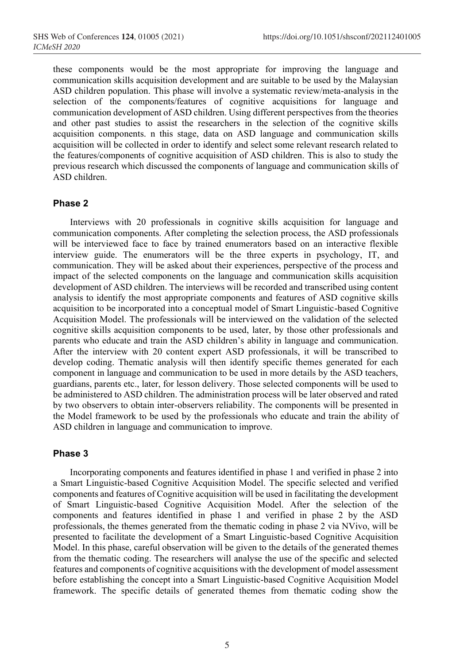these components would be the most appropriate for improving the language and communication skills acquisition development and are suitable to be used by the Malaysian ASD children population. This phase will involve a systematic review/meta-analysis in the selection of the components/features of cognitive acquisitions for language and communication development of ASD children. Using different perspectives from the theories and other past studies to assist the researchers in the selection of the cognitive skills acquisition components. n this stage, data on ASD language and communication skills acquisition will be collected in order to identify and select some relevant research related to the features/components of cognitive acquisition of ASD children. This is also to study the previous research which discussed the components of language and communication skills of ASD children.

#### **Phase 2**

Interviews with 20 professionals in cognitive skills acquisition for language and communication components. After completing the selection process, the ASD professionals will be interviewed face to face by trained enumerators based on an interactive flexible interview guide. The enumerators will be the three experts in psychology, IT, and communication. They will be asked about their experiences, perspective of the process and impact of the selected components on the language and communication skills acquisition development of ASD children. The interviews will be recorded and transcribed using content analysis to identify the most appropriate components and features of ASD cognitive skills acquisition to be incorporated into a conceptual model of Smart Linguistic-based Cognitive Acquisition Model. The professionals will be interviewed on the validation of the selected cognitive skills acquisition components to be used, later, by those other professionals and parents who educate and train the ASD children's ability in language and communication. After the interview with 20 content expert ASD professionals, it will be transcribed to develop coding. Thematic analysis will then identify specific themes generated for each component in language and communication to be used in more details by the ASD teachers, guardians, parents etc., later, for lesson delivery. Those selected components will be used to be administered to ASD children. The administration process will be later observed and rated by two observers to obtain inter-observers reliability. The components will be presented in the Model framework to be used by the professionals who educate and train the ability of ASD children in language and communication to improve.

#### **Phase 3**

Incorporating components and features identified in phase 1 and verified in phase 2 into a Smart Linguistic-based Cognitive Acquisition Model. The specific selected and verified components and features of Cognitive acquisition will be used in facilitating the development of Smart Linguistic-based Cognitive Acquisition Model. After the selection of the components and features identified in phase 1 and verified in phase 2 by the ASD professionals, the themes generated from the thematic coding in phase 2 via NVivo, will be presented to facilitate the development of a Smart Linguistic-based Cognitive Acquisition Model. In this phase, careful observation will be given to the details of the generated themes from the thematic coding. The researchers will analyse the use of the specific and selected features and components of cognitive acquisitions with the development of model assessment before establishing the concept into a Smart Linguistic-based Cognitive Acquisition Model framework. The specific details of generated themes from thematic coding show the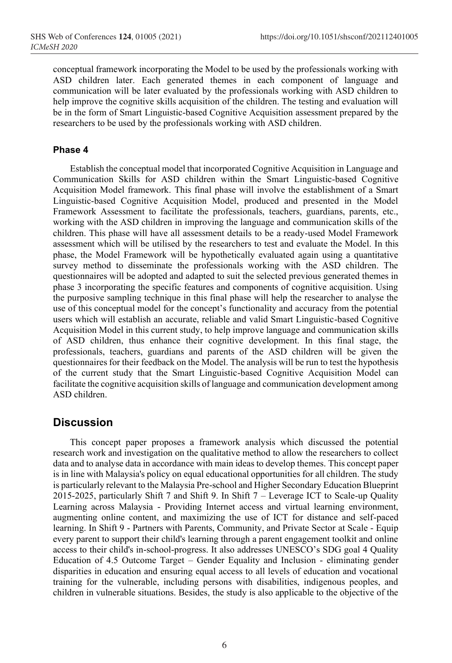conceptual framework incorporating the Model to be used by the professionals working with ASD children later. Each generated themes in each component of language and communication will be later evaluated by the professionals working with ASD children to help improve the cognitive skills acquisition of the children. The testing and evaluation will be in the form of Smart Linguistic-based Cognitive Acquisition assessment prepared by the researchers to be used by the professionals working with ASD children.

#### **Phase 4**

Establish the conceptual model that incorporated Cognitive Acquisition in Language and Communication Skills for ASD children within the Smart Linguistic-based Cognitive Acquisition Model framework. This final phase will involve the establishment of a Smart Linguistic-based Cognitive Acquisition Model, produced and presented in the Model Framework Assessment to facilitate the professionals, teachers, guardians, parents, etc., working with the ASD children in improving the language and communication skills of the children. This phase will have all assessment details to be a ready-used Model Framework assessment which will be utilised by the researchers to test and evaluate the Model. In this phase, the Model Framework will be hypothetically evaluated again using a quantitative survey method to disseminate the professionals working with the ASD children. The questionnaires will be adopted and adapted to suit the selected previous generated themes in phase 3 incorporating the specific features and components of cognitive acquisition. Using the purposive sampling technique in this final phase will help the researcher to analyse the use of this conceptual model for the concept's functionality and accuracy from the potential users which will establish an accurate, reliable and valid Smart Linguistic-based Cognitive Acquisition Model in this current study, to help improve language and communication skills of ASD children, thus enhance their cognitive development. In this final stage, the professionals, teachers, guardians and parents of the ASD children will be given the questionnaires for their feedback on the Model. The analysis will be run to test the hypothesis of the current study that the Smart Linguistic-based Cognitive Acquisition Model can facilitate the cognitive acquisition skills of language and communication development among ASD children.

### **Discussion**

This concept paper proposes a framework analysis which discussed the potential research work and investigation on the qualitative method to allow the researchers to collect data and to analyse data in accordance with main ideas to develop themes. This concept paper is in line with Malaysia's policy on equal educational opportunities for all children. The study is particularly relevant to the Malaysia Pre-school and Higher Secondary Education Blueprint 2015-2025, particularly Shift 7 and Shift 9. In Shift 7 – Leverage ICT to Scale-up Quality Learning across Malaysia - Providing Internet access and virtual learning environment, augmenting online content, and maximizing the use of ICT for distance and self-paced learning. In Shift 9 - Partners with Parents, Community, and Private Sector at Scale - Equip every parent to support their child's learning through a parent engagement toolkit and online access to their child's in-school-progress. It also addresses UNESCO's SDG goal 4 Quality Education of 4.5 Outcome Target – Gender Equality and Inclusion - eliminating gender disparities in education and ensuring equal access to all levels of education and vocational training for the vulnerable, including persons with disabilities, indigenous peoples, and children in vulnerable situations. Besides, the study is also applicable to the objective of the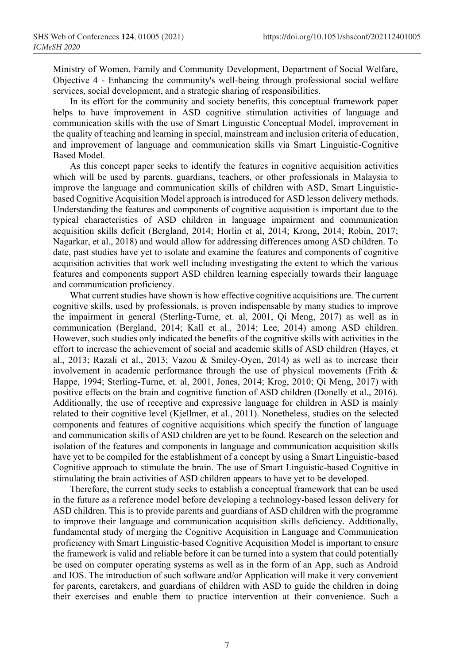Ministry of Women, Family and Community Development, Department of Social Welfare, Objective 4 - Enhancing the community's well-being through professional social welfare services, social development, and a strategic sharing of responsibilities.

In its effort for the community and society benefits, this conceptual framework paper helps to have improvement in ASD cognitive stimulation activities of language and communication skills with the use of Smart Linguistic Conceptual Model, improvement in the quality of teaching and learning in special, mainstream and inclusion criteria of education, and improvement of language and communication skills via Smart Linguistic-Cognitive Based Model.

As this concept paper seeks to identify the features in cognitive acquisition activities which will be used by parents, guardians, teachers, or other professionals in Malaysia to improve the language and communication skills of children with ASD, Smart Linguisticbased Cognitive Acquisition Model approach is introduced for ASD lesson delivery methods. Understanding the features and components of cognitive acquisition is important due to the typical characteristics of ASD children in language impairment and communication acquisition skills deficit (Bergland, 2014; Horlin et al, 2014; Krong, 2014; Robin, 2017; Nagarkar, et al., 2018) and would allow for addressing differences among ASD children. To date, past studies have yet to isolate and examine the features and components of cognitive acquisition activities that work well including investigating the extent to which the various features and components support ASD children learning especially towards their language and communication proficiency.

What current studies have shown is how effective cognitive acquisitions are. The current cognitive skills, used by professionals, is proven indispensable by many studies to improve the impairment in general (Sterling-Turne, et. al, 2001, Qi Meng, 2017) as well as in communication (Bergland, 2014; Kall et al., 2014; Lee, 2014) among ASD children. However, such studies only indicated the benefits of the cognitive skills with activities in the effort to increase the achievement of social and academic skills of ASD children (Hayes, et al., 2013; Razali et al., 2013; Vazou & Smiley-Oyen, 2014) as well as to increase their involvement in academic performance through the use of physical movements (Frith  $\&$ Happe, 1994; Sterling-Turne, et. al, 2001, Jones, 2014; Krog, 2010; Qi Meng, 2017) with positive effects on the brain and cognitive function of ASD children (Donelly et al., 2016). Additionally, the use of receptive and expressive language for children in ASD is mainly related to their cognitive level (Kjellmer, et al., 2011). Nonetheless, studies on the selected components and features of cognitive acquisitions which specify the function of language and communication skills of ASD children are yet to be found. Research on the selection and isolation of the features and components in language and communication acquisition skills have yet to be compiled for the establishment of a concept by using a Smart Linguistic-based Cognitive approach to stimulate the brain. The use of Smart Linguistic-based Cognitive in stimulating the brain activities of ASD children appears to have yet to be developed.

Therefore, the current study seeks to establish a conceptual framework that can be used in the future as a reference model before developing a technology-based lesson delivery for ASD children. This is to provide parents and guardians of ASD children with the programme to improve their language and communication acquisition skills deficiency. Additionally, fundamental study of merging the Cognitive Acquisition in Language and Communication proficiency with Smart Linguistic-based Cognitive Acquisition Model is important to ensure the framework is valid and reliable before it can be turned into a system that could potentially be used on computer operating systems as well as in the form of an App, such as Android and IOS. The introduction of such software and/or Application will make it very convenient for parents, caretakers, and guardians of children with ASD to guide the children in doing their exercises and enable them to practice intervention at their convenience. Such a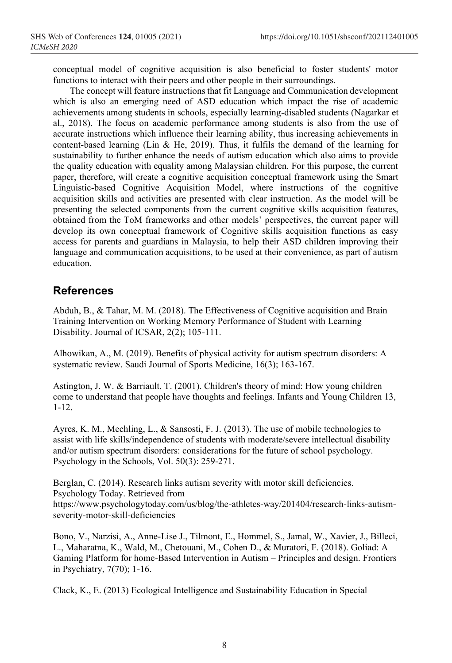conceptual model of cognitive acquisition is also beneficial to foster students' motor functions to interact with their peers and other people in their surroundings.

The concept will feature instructions that fit Language and Communication development which is also an emerging need of ASD education which impact the rise of academic achievements among students in schools, especially learning-disabled students (Nagarkar et al., 2018). The focus on academic performance among students is also from the use of accurate instructions which influence their learning ability, thus increasing achievements in content-based learning (Lin & He, 2019). Thus, it fulfils the demand of the learning for sustainability to further enhance the needs of autism education which also aims to provide the quality education with equality among Malaysian children. For this purpose, the current paper, therefore, will create a cognitive acquisition conceptual framework using the Smart Linguistic-based Cognitive Acquisition Model, where instructions of the cognitive acquisition skills and activities are presented with clear instruction. As the model will be presenting the selected components from the current cognitive skills acquisition features, obtained from the ToM frameworks and other models' perspectives, the current paper will develop its own conceptual framework of Cognitive skills acquisition functions as easy access for parents and guardians in Malaysia, to help their ASD children improving their language and communication acquisitions, to be used at their convenience, as part of autism education.

## **References**

Abduh, B., & Tahar, M. M. (2018). The Effectiveness of Cognitive acquisition and Brain Training Intervention on Working Memory Performance of Student with Learning Disability. Journal of ICSAR, 2(2); 105-111.

Alhowikan, A., M. (2019). Benefits of physical activity for autism spectrum disorders: A systematic review. Saudi Journal of Sports Medicine, 16(3); 163-167.

Astington, J. W. & Barriault, T. (2001). Children's theory of mind: How young children come to understand that people have thoughts and feelings. Infants and Young Children 13, 1-12.

Ayres, K. M., Mechling, L., & Sansosti, F. J. (2013). The use of mobile technologies to assist with life skills/independence of students with moderate/severe intellectual disability and/or autism spectrum disorders: considerations for the future of school psychology. Psychology in the Schools, Vol. 50(3): 259-271.

Berglan, C. (2014). Research links autism severity with motor skill deficiencies. Psychology Today. Retrieved from https://www.psychologytoday.com/us/blog/the-athletes-way/201404/research-links-autismseverity-motor-skill-deficiencies

Bono, V., Narzisi, A., Anne-Lise J., Tilmont, E., Hommel, S., Jamal, W., Xavier, J., Billeci, L., Maharatna, K., Wald, M., Chetouani, M., Cohen D., & Muratori, F. (2018). Goliad: A Gaming Platform for home-Based Intervention in Autism – Principles and design. Frontiers in Psychiatry, 7(70); 1-16.

Clack, K., E. (2013) Ecological Intelligence and Sustainability Education in Special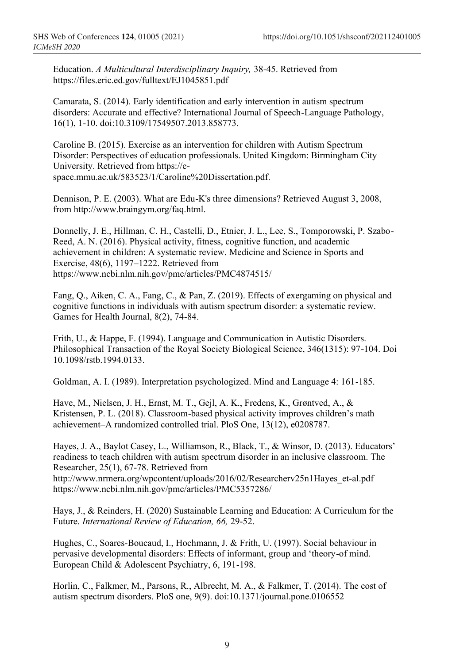Education. *A Multicultural Interdisciplinary Inquiry,* 38-45. Retrieved from https://files.eric.ed.gov/fulltext/EJ1045851.pdf

Camarata, S. (2014). Early identification and early intervention in autism spectrum disorders: Accurate and effective? International Journal of Speech-Language Pathology, 16(1), 1-10. doi:10.3109/17549507.2013.858773.

Caroline B. (2015). Exercise as an intervention for children with Autism Spectrum Disorder: Perspectives of education professionals. United Kingdom: Birmingham City University. Retrieved from https://espace.mmu.ac.uk/583523/1/Caroline%20Dissertation.pdf.

Dennison, P. E. (2003). What are Edu-K's three dimensions? Retrieved August 3, 2008, from http://www.braingym.org/faq.html.

Donnelly, J. E., Hillman, C. H., Castelli, D., Etnier, J. L., Lee, S., Tomporowski, P. Szabo-Reed, A. N. (2016). Physical activity, fitness, cognitive function, and academic achievement in children: A systematic review. Medicine and Science in Sports and Exercise, 48(6), 1197–1222. Retrieved from https://www.ncbi.nlm.nih.gov/pmc/articles/PMC4874515/

Fang, Q., Aiken, C. A., Fang, C., & Pan, Z. (2019). Effects of exergaming on physical and cognitive functions in individuals with autism spectrum disorder: a systematic review. Games for Health Journal, 8(2), 74-84.

Frith, U., & Happe, F. (1994). Language and Communication in Autistic Disorders. Philosophical Transaction of the Royal Society Biological Science, 346(1315): 97-104. Doi 10.1098/rstb.1994.0133.

Goldman, A. I. (1989). Interpretation psychologized. Mind and Language 4: 161-185.

Have, M., Nielsen, J. H., Ernst, M. T., Gejl, A. K., Fredens, K., Grøntved, A., & Kristensen, P. L. (2018). Classroom-based physical activity improves children's math achievement–A randomized controlled trial. PloS One, 13(12), e0208787.

Hayes, J. A., Baylot Casey, L., Williamson, R., Black, T., & Winsor, D. (2013). Educators' readiness to teach children with autism spectrum disorder in an inclusive classroom. The Researcher, 25(1), 67-78. Retrieved from http://www.nrmera.org/wpcontent/uploads/2016/02/Researcherv25n1Hayes\_et-al.pdf

https://www.ncbi.nlm.nih.gov/pmc/articles/PMC5357286/

Hays, J., & Reinders, H. (2020) Sustainable Learning and Education: A Curriculum for the Future. *International Review of Education, 66,* 29-52.

Hughes, C., Soares-Boucaud, I., Hochmann, J. & Frith, U. (1997). Social behaviour in pervasive developmental disorders: Effects of informant, group and 'theory-of mind. European Child & Adolescent Psychiatry, 6, 191-198.

Horlin, C., Falkmer, M., Parsons, R., Albrecht, M. A., & Falkmer, T. (2014). The cost of autism spectrum disorders. PloS one, 9(9). doi:10.1371/journal.pone.0106552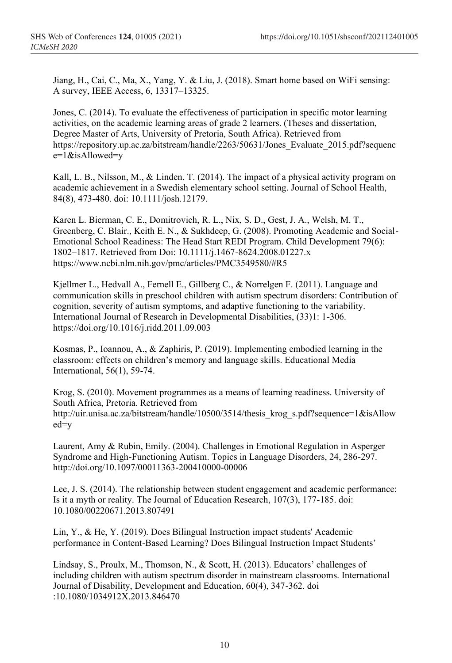Jiang, H., Cai, C., Ma, X., Yang, Y. & Liu, J. (2018). Smart home based on WiFi sensing: A survey, IEEE Access, 6, 13317–13325.

Jones, C. (2014). To evaluate the effectiveness of participation in specific motor learning activities, on the academic learning areas of grade 2 learners. (Theses and dissertation, Degree Master of Arts, University of Pretoria, South Africa). Retrieved from https://repository.up.ac.za/bitstream/handle/2263/50631/Jones\_Evaluate\_2015.pdf?sequenc e=1&isAllowed=y

Kall, L. B., Nilsson, M., & Linden, T. (2014). The impact of a physical activity program on academic achievement in a Swedish elementary school setting. Journal of School Health, 84(8), 473-480. doi: 10.1111/josh.12179.

Karen L. Bierman, C. E., Domitrovich, R. L., Nix, S. D., Gest, J. A., Welsh, M. T., Greenberg, C. Blair., Keith E. N., & Sukhdeep, G. (2008). Promoting Academic and Social-Emotional School Readiness: The Head Start REDI Program. Child Development 79(6): 1802–1817. Retrieved from Doi: 10.1111/j.1467-8624.2008.01227.x https://www.ncbi.nlm.nih.gov/pmc/articles/PMC3549580/#R5

Kjellmer L., Hedvall A., Fernell E., Gillberg C., & Norrelgen F. (2011). Language and communication skills in preschool children with autism spectrum disorders: Contribution of cognition, severity of autism symptoms, and adaptive functioning to the variability. International Journal of Research in Developmental Disabilities, (33)1: 1-306. https://doi.org/10.1016/j.ridd.2011.09.003

Kosmas, P., Ioannou, A., & Zaphiris, P. (2019). Implementing embodied learning in the classroom: effects on children's memory and language skills. Educational Media International, 56(1), 59-74.

Krog, S. (2010). Movement programmes as a means of learning readiness. University of South Africa, Pretoria. Retrieved from http://uir.unisa.ac.za/bitstream/handle/10500/3514/thesis\_krog\_s.pdf?sequence=1&isAllow ed=y

Laurent, Amy & Rubin, Emily. (2004). Challenges in Emotional Regulation in Asperger Syndrome and High-Functioning Autism. Topics in Language Disorders, 24, 286-297. http://doi.org/10.1097/00011363-200410000-00006

Lee, J. S. (2014). The relationship between student engagement and academic performance: Is it a myth or reality. The Journal of Education Research, 107(3), 177-185. doi: 10.1080/00220671.2013.807491

Lin, Y., & He, Y. (2019). Does Bilingual Instruction impact students' Academic performance in Content-Based Learning? Does Bilingual Instruction Impact Students'

Lindsay, S., Proulx, M., Thomson, N., & Scott, H. (2013). Educators' challenges of including children with autism spectrum disorder in mainstream classrooms. International Journal of Disability, Development and Education, 60(4), 347-362. doi :10.1080/1034912X.2013.846470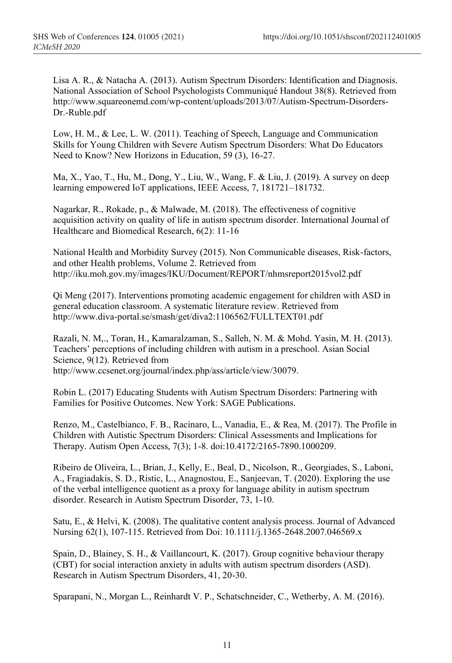Lisa A. R., & Natacha A. (2013). Autism Spectrum Disorders: Identification and Diagnosis. National Association of School Psychologists Communiqué Handout 38(8). Retrieved from http://www.squareonemd.com/wp-content/uploads/2013/07/Autism-Spectrum-Disorders-Dr.-Ruble.pdf

Low, H. M., & Lee, L. W. (2011). Teaching of Speech, Language and Communication Skills for Young Children with Severe Autism Spectrum Disorders: What Do Educators Need to Know? New Horizons in Education, 59 (3), 16-27.

Ma, X., Yao, T., Hu, M., Dong, Y., Liu, W., Wang, F. & Liu, J. (2019). A survey on deep learning empowered IoT applications, IEEE Access, 7, 181721–181732.

Nagarkar, R., Rokade, p., & Malwade, M. (2018). The effectiveness of cognitive acquisition activity on quality of life in autism spectrum disorder. International Journal of Healthcare and Biomedical Research, 6(2): 11-16

National Health and Morbidity Survey (2015). Non Communicable diseases, Risk-factors, and other Health problems, Volume 2. Retrieved from http://iku.moh.gov.my/images/IKU/Document/REPORT/nhmsreport2015vol2.pdf

Qi Meng (2017). Interventions promoting academic engagement for children with ASD in general education classroom. A systematic literature review. Retrieved from http://www.diva-portal.se/smash/get/diva2:1106562/FULLTEXT01.pdf

Razali, N. M,., Toran, H., Kamaralzaman, S., Salleh, N. M. & Mohd. Yasin, M. H. (2013). Teachers' perceptions of including children with autism in a preschool. Asian Social Science, 9(12). Retrieved from http://www.ccsenet.org/journal/index.php/ass/article/view/30079.

Robin L. (2017) Educating Students with Autism Spectrum Disorders: Partnering with Families for Positive Outcomes. New York: SAGE Publications.

Renzo, M., Castelbianco, F. B., Racinaro, L., Vanadia, E., & Rea, M. (2017). The Profile in Children with Autistic Spectrum Disorders: Clinical Assessments and Implications for Therapy. Autism Open Access, 7(3); 1-8. doi:10.4172/2165-7890.1000209.

Ribeiro de Oliveira, L., Brian, J., Kelly, E., Beal, D., Nicolson, R., Georgiades, S., Laboni, A., Fragiadakis, S. D., Ristic, L., Anagnostou, E., Sanjeevan, T. (2020). Exploring the use of the verbal intelligence quotient as a proxy for language ability in autism spectrum disorder. Research in Autism Spectrum Disorder, 73, 1-10.

Satu, E., & Helvi, K. (2008). The qualitative content analysis process. Journal of Advanced Nursing 62(1), 107-115. Retrieved from Doi: 10.1111/j.1365-2648.2007.046569.x

Spain, D., Blainey, S. H., & Vaillancourt, K. (2017). Group cognitive behaviour therapy (CBT) for social interaction anxiety in adults with autism spectrum disorders (ASD). Research in Autism Spectrum Disorders, 41, 20-30.

Sparapani, N., Morgan L., Reinhardt V. P., Schatschneider, C., Wetherby, A. M. (2016).